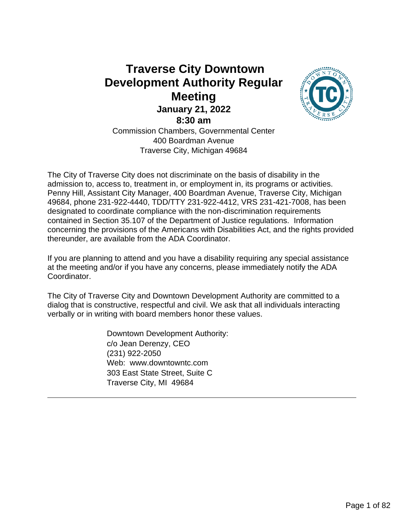# **Traverse City Downtown Development Authority Regular Meeting January 21, 2022 8:30 am** Commission Chambers, Governmental Center 400 Boardman Avenue



Traverse City, Michigan 49684

The City of Traverse City does not discriminate on the basis of disability in the admission to, access to, treatment in, or employment in, its programs or activities. Penny Hill, Assistant City Manager, 400 Boardman Avenue, Traverse City, Michigan 49684, phone 231-922-4440, TDD/TTY 231-922-4412, VRS 231-421-7008, has been designated to coordinate compliance with the non-discrimination requirements contained in Section 35.107 of the Department of Justice regulations. Information concerning the provisions of the Americans with Disabilities Act, and the rights provided thereunder, are available from the ADA Coordinator.

If you are planning to attend and you have a disability requiring any special assistance at the meeting and/or if you have any concerns, please immediately notify the ADA Coordinator.

The City of Traverse City and Downtown Development Authority are committed to a dialog that is constructive, respectful and civil. We ask that all individuals interacting verbally or in writing with board members honor these values.

> Downtown Development Authority: c/o Jean Derenzy, CEO (231) 922-2050 Web: www.downtowntc.com 303 East State Street, Suite C Traverse City, MI 49684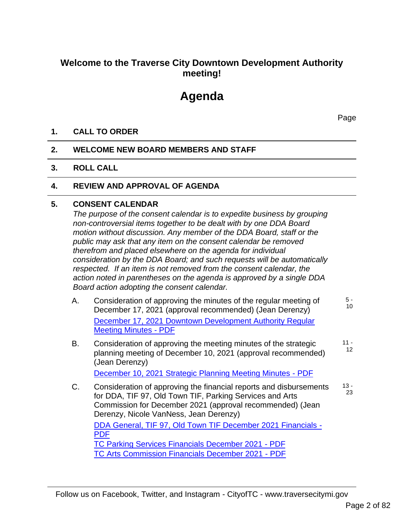# **Welcome to the Traverse City Downtown Development Authority meeting!**

# **Agenda**

Page

### **1. CALL TO ORDER**

#### **2. WELCOME NEW BOARD MEMBERS AND STAFF**

#### **3. ROLL CALL**

#### **4. REVIEW AND APPROVAL OF AGENDA**

#### **5. CONSENT CALENDAR**

*The purpose of the consent calendar is to expedite business by grouping non-controversial items together to be dealt with by one DDA Board motion without discussion. Any member of the DDA Board, staff or the public may ask that any item on the consent calendar be removed therefrom and placed elsewhere on the agenda for individual consideration by the DDA Board; and such requests will be automatically respected. If an item is not removed from the consent calendar, the action noted in parentheses on the agenda is approved by a single DDA Board action adopting the consent calendar.*

- A. Consideration of approving the minutes of the regular meeting of December 17, 2021 (approval recommended) (Jean Derenzy) December 17, 2021 Downtown Development Authority Regular Meeting Minutes - PDF 5 - 10
- B. Consideration of approving the meeting minutes of the strategic planning meeting of December 10, 2021 (approval recommended) (Jean Derenzy) December 10, 2021 Strategic Planning Meeting Minutes - PDF  $11 -$ 12
- C. Consideration of approving the financial reports and disbursements for DDA, TIF 97, Old Town TIF, Parking Services and Arts Commission for December 2021 (approval recommended) (Jean Derenzy, Nicole VanNess, Jean Derenzy) DDA General, TIF 97, Old Town TIF December 2021 Financials - PDF TC Parking Services Financials December 2021 - PDF TC Arts Commission Financials December 2021 - PDF 13 - 23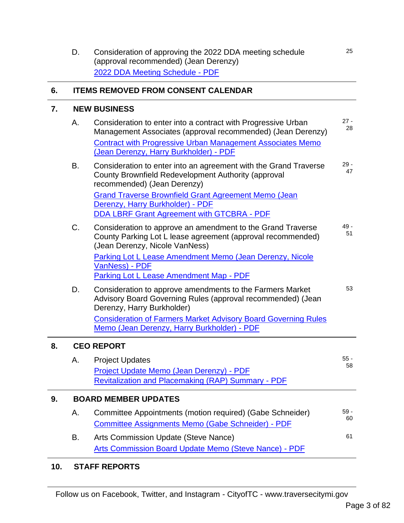D. Consideration of approving the 2022 DDA meeting schedule (approval recommended) (Jean Derenzy) 2022 DDA Meeting Schedule - PDF

#### **6. ITEMS REMOVED FROM CONSENT CALENDAR**

#### **7. NEW BUSINESS**

| Α. | Consideration to enter into a contract with Progressive Urban<br>Management Associates (approval recommended) (Jean Derenzy)<br><b>Contract with Progressive Urban Management Associates Memo</b><br>(Jean Derenzy, Harry Burkholder) - PDF | $27 -$<br>28 |
|----|---------------------------------------------------------------------------------------------------------------------------------------------------------------------------------------------------------------------------------------------|--------------|
| В. | Consideration to enter into an agreement with the Grand Traverse<br>County Brownfield Redevelopment Authority (approval<br>recommended) (Jean Derenzy)                                                                                      | $29 -$<br>47 |
|    | <b>Grand Traverse Brownfield Grant Agreement Memo (Jean</b><br>Derenzy, Harry Burkholder) - PDF<br><b>DDA LBRF Grant Agreement with GTCBRA - PDF</b>                                                                                        |              |
| C. | Consideration to approve an amendment to the Grand Traverse<br>County Parking Lot L lease agreement (approval recommended)<br>(Jean Derenzy, Nicole VanNess)                                                                                | $49 -$<br>51 |
|    | Parking Lot L Lease Amendment Memo (Jean Derenzy, Nicole<br>VanNess) - PDF<br>Parking Lot L Lease Amendment Map - PDF                                                                                                                       |              |
| D. | Consideration to approve amendments to the Farmers Market<br>Advisory Board Governing Rules (approval recommended) (Jean                                                                                                                    | 53           |

Derenzy, Harry Burkholder) Consideration of Farmers Market Advisory Board Governing Rules Memo (Jean Derenzy, Harry Burkholder) - PDF

### **8. CEO REPORT**

|    | Α.                          | <b>Project Updates</b><br>Project Update Memo (Jean Derenzy) - PDF<br>Revitalization and Placemaking (RAP) Summary - PDF | $55 -$<br>58 |  |
|----|-----------------------------|--------------------------------------------------------------------------------------------------------------------------|--------------|--|
| 9. | <b>BOARD MEMBER UPDATES</b> |                                                                                                                          |              |  |
|    | А.                          | Committee Appointments (motion required) (Gabe Schneider)<br>Committee Assignments Memo (Gabe Schneider) - PDF           | $59 -$<br>60 |  |
|    | В.                          | Arts Commission Update (Steve Nance)<br>Arts Commission Board Update Memo (Steve Nance) - PDF                            | 61           |  |

#### **10. STAFF REPORTS**